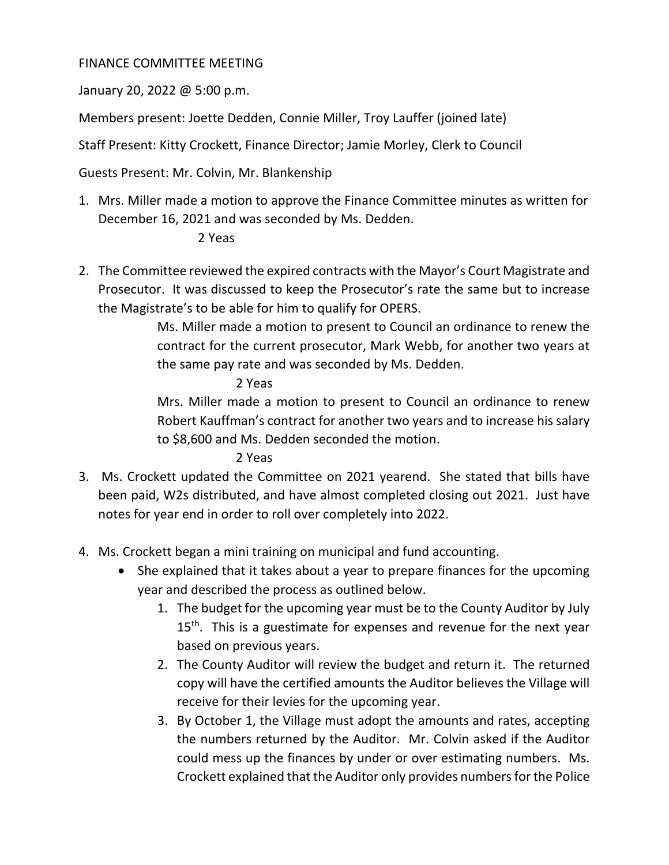## FINANCE COMMITTEE MEETING

January 20, 2022 @ 5:00 p.m.

Members present: Joette Dedden, Connie Miller, Troy Lauffer (joined late)

Staff Present: Kitty Crockett, Finance Director; Jamie Morley, Clerk to Council

Guests Present: Mr. Colvin, Mr. Blankenship

1. Mrs. Miller made a motion to approve the Finance Committee minutes as written for December 16, 2021 and was seconded by Ms. Dedden.

## 2 Yeas

2. The Committee reviewed the expired contracts with the Mayor's Court Magistrate and Prosecutor. It was discussed to keep the Prosecutor's rate the same but to increase the Magistrate's to be able for him to qualify for OPERS.

> Ms. Miller made a motion to present to Council an ordinance to renew the contract for the current prosecutor, Mark Webb, for another two years at the same pay rate and was seconded by Ms. Dedden.

## 2 Yeas

Mrs. Miller made a motion to present to Council an ordinance to renew Robert Kauffman's contract for another two years and to increase his salary to \$8,600 and Ms. Dedden seconded the motion.

2 Yeas

- 3. Ms. Crockett updated the Committee on 2021 yearend. She stated that bills have been paid, W2s distributed, and have almost completed closing out 2021. Just have notes for year end in order to roll over completely into 2022.
- 4. Ms. Crockett began a mini training on municipal and fund accounting.
	- She explained that it takes about a year to prepare finances for the upcoming year and described the process as outlined below.
		- 1. The budget for the upcoming year must be to the County Auditor by July 15<sup>th</sup>. This is a guestimate for expenses and revenue for the next year based on previous years.
		- 2. The County Auditor will review the budget and return it. The returned copy will have the certified amounts the Auditor believes the Village will receive for their levies for the upcoming year.
		- 3. By October 1, the Village must adopt the amounts and rates, accepting the numbers returned by the Auditor. Mr. Colvin asked if the Auditor could mess up the finances by under or over estimating numbers. Ms. Crockett explained that the Auditor only provides numbers for the Police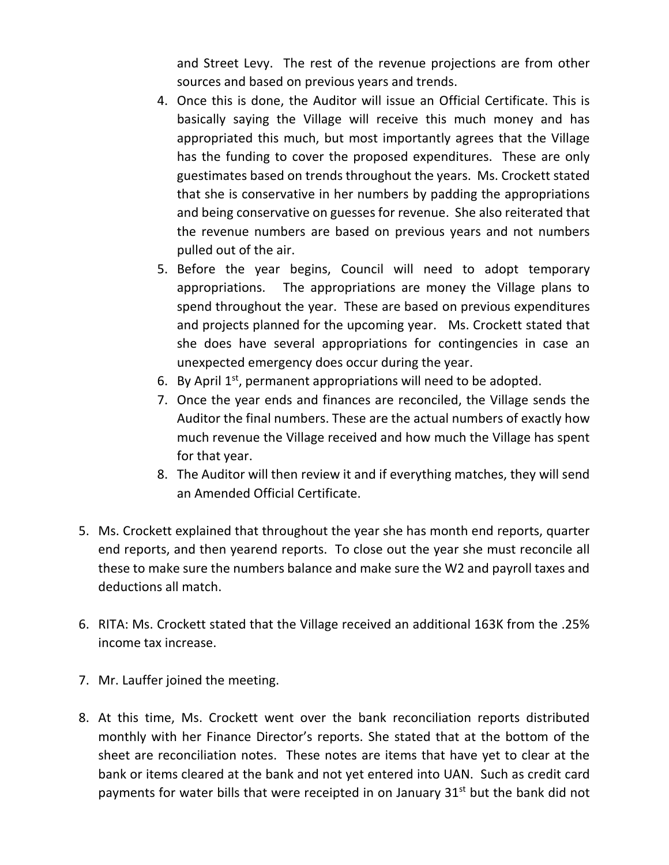and Street Levy. The rest of the revenue projections are from other sources and based on previous years and trends.

- 4. Once this is done, the Auditor will issue an Official Certificate. This is basically saying the Village will receive this much money and has appropriated this much, but most importantly agrees that the Village has the funding to cover the proposed expenditures. These are only guestimates based on trends throughout the years. Ms. Crockett stated that she is conservative in her numbers by padding the appropriations and being conservative on guesses for revenue. She also reiterated that the revenue numbers are based on previous years and not numbers pulled out of the air.
- 5. Before the year begins, Council will need to adopt temporary appropriations. The appropriations are money the Village plans to spend throughout the year. These are based on previous expenditures and projects planned for the upcoming year. Ms. Crockett stated that she does have several appropriations for contingencies in case an unexpected emergency does occur during the year.
- 6. By April  $1^{st}$ , permanent appropriations will need to be adopted.
- 7. Once the year ends and finances are reconciled, the Village sends the Auditor the final numbers. These are the actual numbers of exactly how much revenue the Village received and how much the Village has spent for that year.
- 8. The Auditor will then review it and if everything matches, they will send an Amended Official Certificate.
- 5. Ms. Crockett explained that throughout the year she has month end reports, quarter end reports, and then yearend reports. To close out the year she must reconcile all these to make sure the numbers balance and make sure the W2 and payroll taxes and deductions all match.
- 6. RITA: Ms. Crockett stated that the Village received an additional 163K from the .25% income tax increase.
- 7. Mr. Lauffer joined the meeting.
- 8. At this time, Ms. Crockett went over the bank reconciliation reports distributed monthly with her Finance Director's reports. She stated that at the bottom of the sheet are reconciliation notes. These notes are items that have yet to clear at the bank or items cleared at the bank and not yet entered into UAN. Such as credit card payments for water bills that were receipted in on January  $31<sup>st</sup>$  but the bank did not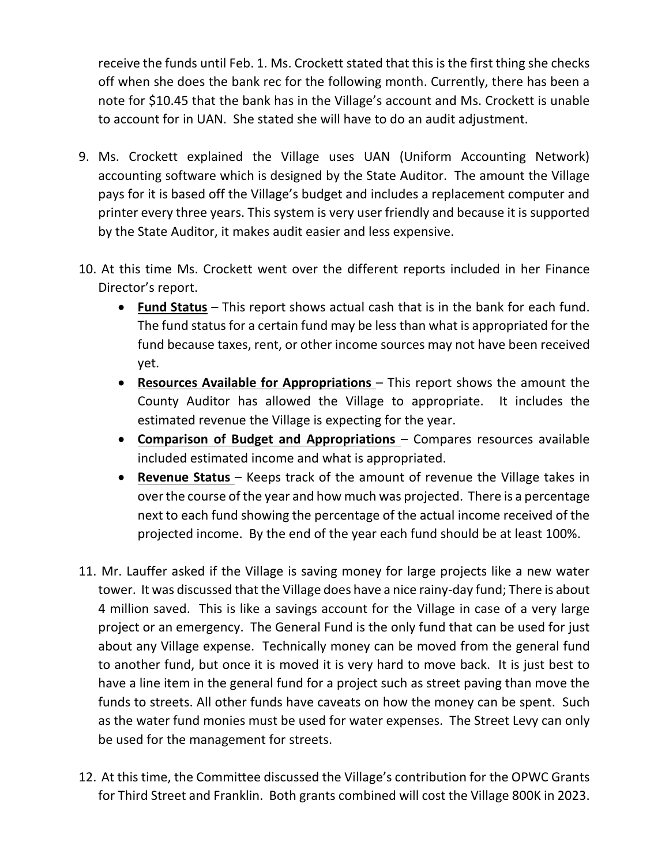receive the funds until Feb. 1. Ms. Crockett stated that this is the first thing she checks off when she does the bank rec for the following month. Currently, there has been a note for \$10.45 that the bank has in the Village's account and Ms. Crockett is unable to account for in UAN. She stated she will have to do an audit adjustment.

- 9. Ms. Crockett explained the Village uses UAN (Uniform Accounting Network) accounting software which is designed by the State Auditor. The amount the Village pays for it is based off the Village's budget and includes a replacement computer and printer every three years. This system is very user friendly and because it is supported by the State Auditor, it makes audit easier and less expensive.
- 10. At this time Ms. Crockett went over the different reports included in her Finance Director's report.
	- **Fund Status** This report shows actual cash that is in the bank for each fund. The fund status for a certain fund may be less than what is appropriated for the fund because taxes, rent, or other income sources may not have been received yet.
	- **Resources Available for Appropriations**  This report shows the amount the County Auditor has allowed the Village to appropriate. It includes the estimated revenue the Village is expecting for the year.
	- **Comparison of Budget and Appropriations** Compares resources available included estimated income and what is appropriated.
	- **Revenue Status** Keeps track of the amount of revenue the Village takes in over the course of the year and how much was projected. There is a percentage next to each fund showing the percentage of the actual income received of the projected income. By the end of the year each fund should be at least 100%.
- 11. Mr. Lauffer asked if the Village is saving money for large projects like a new water tower. It was discussed that the Village does have a nice rainy-day fund; There is about 4 million saved. This is like a savings account for the Village in case of a very large project or an emergency. The General Fund is the only fund that can be used for just about any Village expense. Technically money can be moved from the general fund to another fund, but once it is moved it is very hard to move back. It is just best to have a line item in the general fund for a project such as street paving than move the funds to streets. All other funds have caveats on how the money can be spent. Such as the water fund monies must be used for water expenses. The Street Levy can only be used for the management for streets.
- 12. At this time, the Committee discussed the Village's contribution for the OPWC Grants for Third Street and Franklin. Both grants combined will cost the Village 800K in 2023.